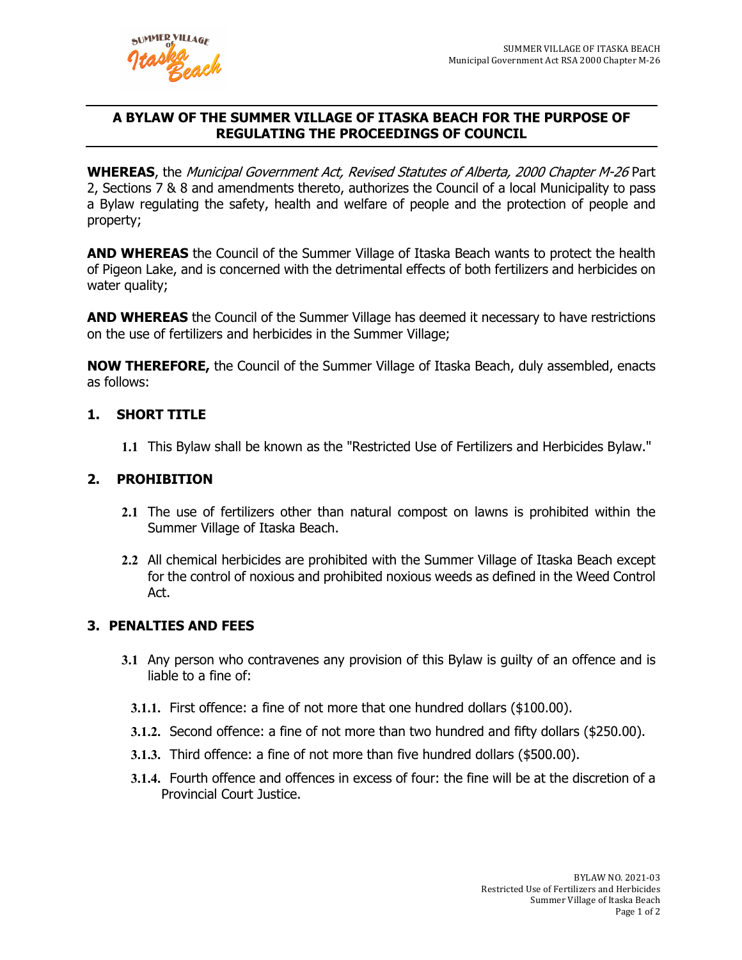

# **A BYLAW OF THE SUMMER VILLAGE OF ITASKA BEACH FOR THE PURPOSE OF REGULATING THE PROCEEDINGS OF COUNCIL**

**WHEREAS**, the Municipal Government Act, Revised Statutes of Alberta, 2000 Chapter M-26 Part 2, Sections 7 & 8 and amendments thereto, authorizes the Council of a local Municipality to pass a Bylaw regulating the safety, health and welfare of people and the protection of people and property;

**AND WHEREAS** the Council of the Summer Village of Itaska Beach wants to protect the health of Pigeon Lake, and is concerned with the detrimental effects of both fertilizers and herbicides on water quality;

**AND WHEREAS** the Council of the Summer Village has deemed it necessary to have restrictions on the use of fertilizers and herbicides in the Summer Village;

**NOW THEREFORE,** the Council of the Summer Village of Itaska Beach, duly assembled, enacts as follows:

## **1. SHORT TITLE**

**1.1** This Bylaw shall be known as the "Restricted Use of Fertilizers and Herbicides Bylaw."

## **2. PROHIBITION**

- **2.1** The use of fertilizers other than natural compost on lawns is prohibited within the Summer Village of Itaska Beach.
- **2.2** All chemical herbicides are prohibited with the Summer Village of Itaska Beach except for the control of noxious and prohibited noxious weeds as defined in the Weed Control Act.

#### **3. PENALTIES AND FEES**

- **3.1** Any person who contravenes any provision of this Bylaw is guilty of an offence and is liable to a fine of:
	- **3.1.1.** First offence: a fine of not more that one hundred dollars (\$100.00).
	- **3.1.2.** Second offence: a fine of not more than two hundred and fifty dollars (\$250.00).
	- **3.1.3.** Third offence: a fine of not more than five hundred dollars (\$500.00).
	- **3.1.4.** Fourth offence and offences in excess of four: the fine will be at the discretion of a Provincial Court Justice.